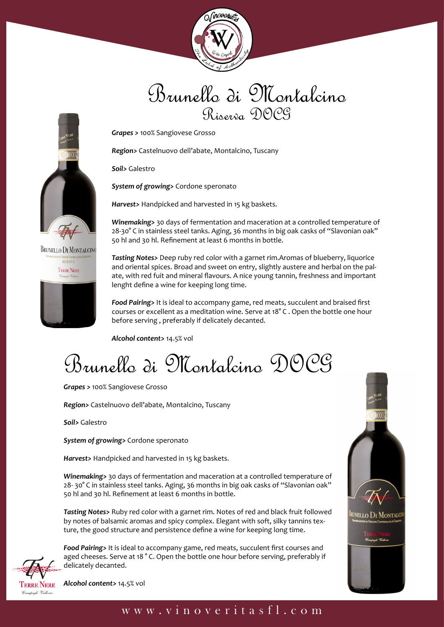

## Brunello di Montalcino Riserra DOCG

*Grapes >* 100% Sangiovese Grosso

*Region>* Castelnuovo dell'abate, Montalcino, Tuscany

*Soil>* Galestro

*System of growing>* Cordone speronato

*Harvest>* Handpicked and harvested in 15 kg baskets.

*Winemaking>* 30 days of fermentation and maceration at a controlled temperature of 28-30° C in stainless steel tanks. Aging, 36 months in big oak casks of "Slavonian oak" 50 hl and 30 hl. Refinement at least 6 months in bottle.

*Tasting Notes>* Deep ruby red color with a garnet rim.Aromas of blueberry, liquorice and oriental spices. Broad and sweet on entry, slightly austere and herbal on the palate, with red fuit and mineral flavours. A nice young tannin, freshness and important lenght define a wine for keeping long time.

*Food Pairing>* It is ideal to accompany game, red meats, succulent and braised first courses or excellent as a meditation wine. Serve at 18° C . Open the bottle one hour before serving , preferably if delicately decanted.

*Alcohol content>* 14.5% vol

Brunello di Montalcino DOCG

*Grapes >* 100% Sangiovese Grosso

*Region>* Castelnuovo dell'abate, Montalcino, Tuscany

*Soil>* Galestro

*System of growing>* Cordone speronato

*Harvest>* Handpicked and harvested in 15 kg baskets.

*Winemaking>* 30 days of fermentation and maceration at a controlled temperature of 28- 30° C in stainless steel tanks. Aging, 36 months in big oak casks of "Slavonian oak" 50 hl and 30 hl. Refinement at least 6 months in bottle.

*Tasting Notes>* Ruby red color with a garnet rim. Notes of red and black fruit followed by notes of balsamic aromas and spicy complex. Elegant with soft, silky tannins texture, the good structure and persistence define a wine for keeping long time.



*Food Pairing>* It is ideal to accompany game, red meats, succulent first courses and aged cheeses. Serve at 18 ° C. Open the bottle one hour before serving, preferably if delicately decanted.

*Alcohol content>* 14.5% vol





**BRUNELLO DI MONTALCINO** 

## www.vinoveritasfl.com